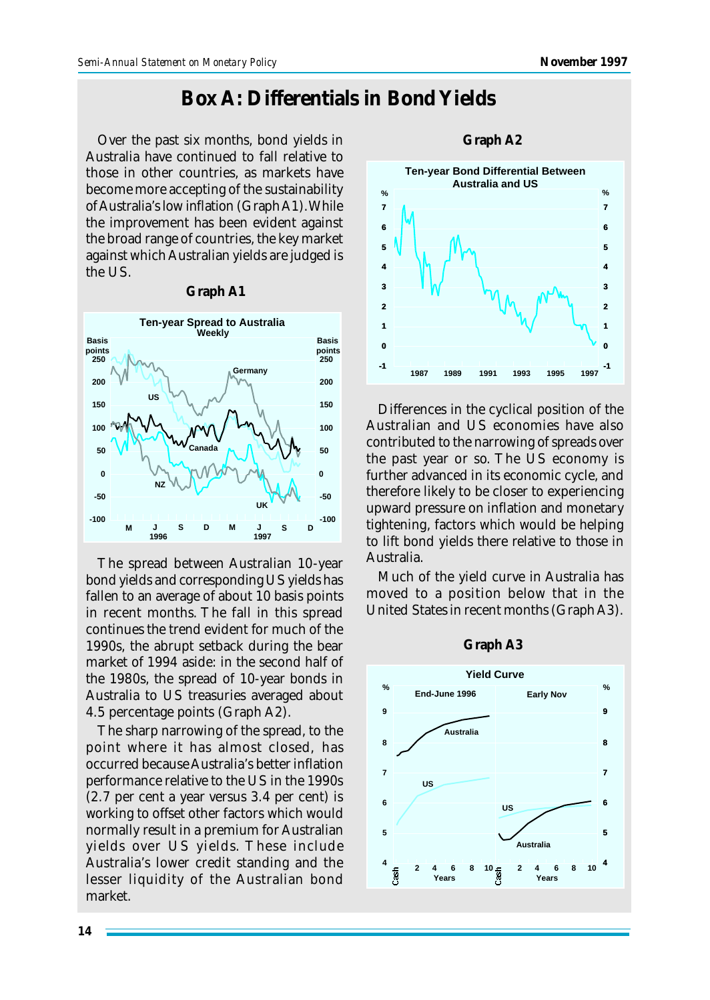## **Box A: Differentials in Bond Yields**

Over the past six months, bond yields in Australia have continued to fall relative to those in other countries, as markets have become more accepting of the sustainability of Australia's low inflation (Graph A1). While the improvement has been evident against the broad range of countries, the key market against which Australian yields are judged is the US.



**Graph A1**

The spread between Australian 10-year bond yields and corresponding US yields has fallen to an average of about 10 basis points in recent months. The fall in this spread continues the trend evident for much of the 1990s, the abrupt setback during the bear market of 1994 aside: in the second half of the 1980s, the spread of 10-year bonds in Australia to US treasuries averaged about 4.5 percentage points (Graph A2).

The sharp narrowing of the spread, to the point where it has almost closed, has occurred because Australia's better inflation performance relative to the US in the 1990s (2.7 per cent a year versus 3.4 per cent) is working to offset other factors which would normally result in a premium for Australian yields over US yields. These include Australia's lower credit standing and the lesser liquidity of the Australian bond market.



Differences in the cyclical position of the Australian and US economies have also contributed to the narrowing of spreads over the past year or so. The US economy is further advanced in its economic cycle, and therefore likely to be closer to experiencing upward pressure on inflation and monetary tightening, factors which would be helping to lift bond yields there relative to those in Australia.

Much of the yield curve in Australia has moved to a position below that in the United States in recent months (Graph A3).